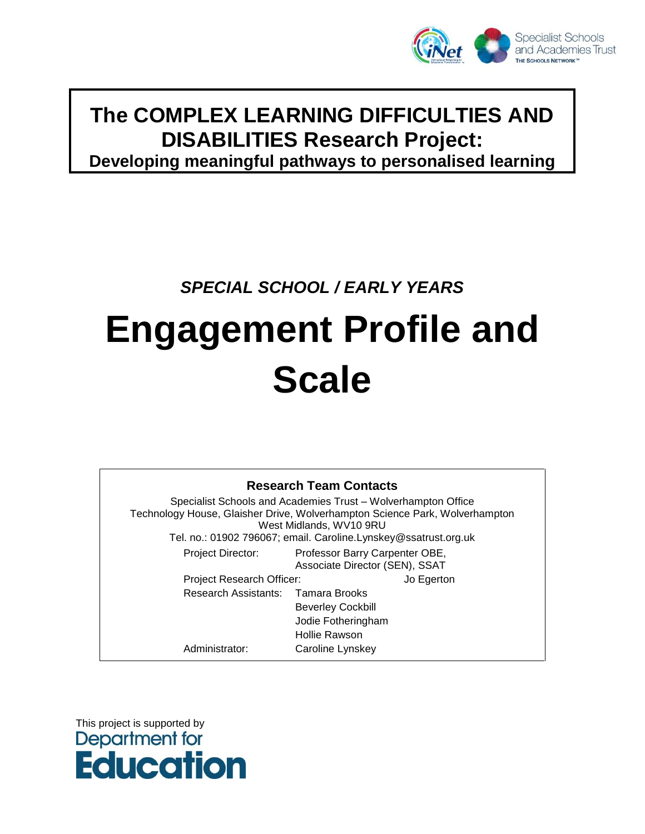

# **The COMPLEX LEARNING DIFFICULTIES AND DISABILITIES Research Project:**

**Developing meaningful pathways to personalised learning**

## *SPECIAL SCHOOL / EARLY YEARS*

# **Engagement Profile and Scale**

|                                                                                                        | <b>Research Team Contacts</b>                                    |            |  |  |  |  |  |  |  |  |  |
|--------------------------------------------------------------------------------------------------------|------------------------------------------------------------------|------------|--|--|--|--|--|--|--|--|--|
| Specialist Schools and Academies Trust – Wolverhampton Office                                          |                                                                  |            |  |  |  |  |  |  |  |  |  |
| Technology House, Glaisher Drive, Wolverhampton Science Park, Wolverhampton<br>West Midlands, WV10 9RU |                                                                  |            |  |  |  |  |  |  |  |  |  |
| Tel. no.: 01902 796067; email. Caroline.Lynskey@ssatrust.org.uk                                        |                                                                  |            |  |  |  |  |  |  |  |  |  |
| Project Director:                                                                                      | Professor Barry Carpenter OBE,<br>Associate Director (SEN), SSAT |            |  |  |  |  |  |  |  |  |  |
| Project Research Officer:                                                                              |                                                                  | Jo Egerton |  |  |  |  |  |  |  |  |  |
| Research Assistants: Tamara Brooks                                                                     |                                                                  |            |  |  |  |  |  |  |  |  |  |
|                                                                                                        | <b>Beverley Cockbill</b>                                         |            |  |  |  |  |  |  |  |  |  |
|                                                                                                        | Jodie Fotheringham                                               |            |  |  |  |  |  |  |  |  |  |
|                                                                                                        | Hollie Rawson                                                    |            |  |  |  |  |  |  |  |  |  |
| Administrator:                                                                                         | Caroline Lynskey                                                 |            |  |  |  |  |  |  |  |  |  |

This project is supported by<br>**Department** for **Education**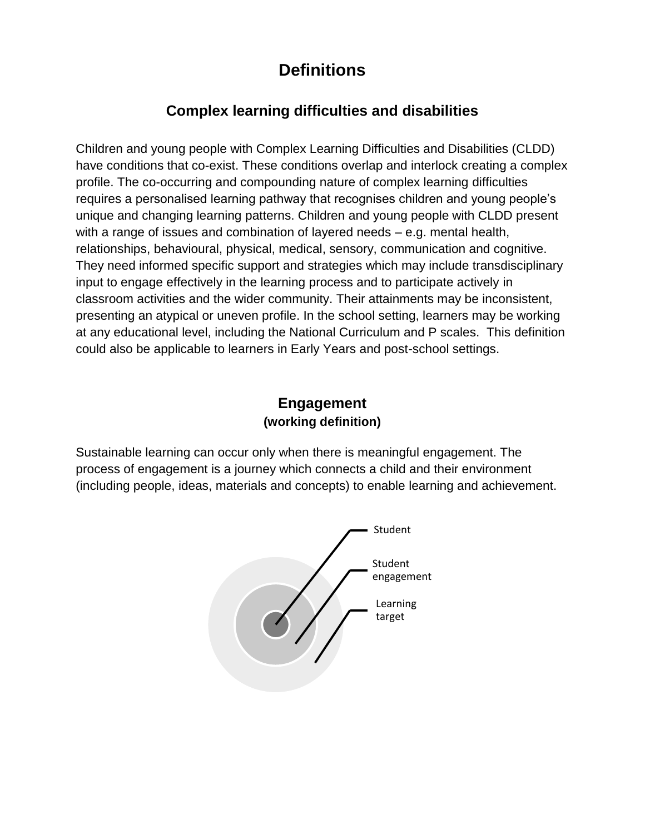### **Definitions**

### **Complex learning difficulties and disabilities**

Children and young people with Complex Learning Difficulties and Disabilities (CLDD) have conditions that co-exist. These conditions overlap and interlock creating a complex profile. The co-occurring and compounding nature of complex learning difficulties requires a personalised learning pathway that recognises children and young people"s unique and changing learning patterns. Children and young people with CLDD present with a range of issues and combination of layered needs – e.g. mental health, relationships, behavioural, physical, medical, sensory, communication and cognitive. They need informed specific support and strategies which may include transdisciplinary input to engage effectively in the learning process and to participate actively in classroom activities and the wider community. Their attainments may be inconsistent, presenting an atypical or uneven profile. In the school setting, learners may be working at any educational level, including the National Curriculum and P scales. This definition could also be applicable to learners in Early Years and post-school settings.

### **Engagement (working definition)**

Sustainable learning can occur only when there is meaningful engagement. The process of engagement is a journey which connects a child and their environment (including people, ideas, materials and concepts) to enable learning and achievement.

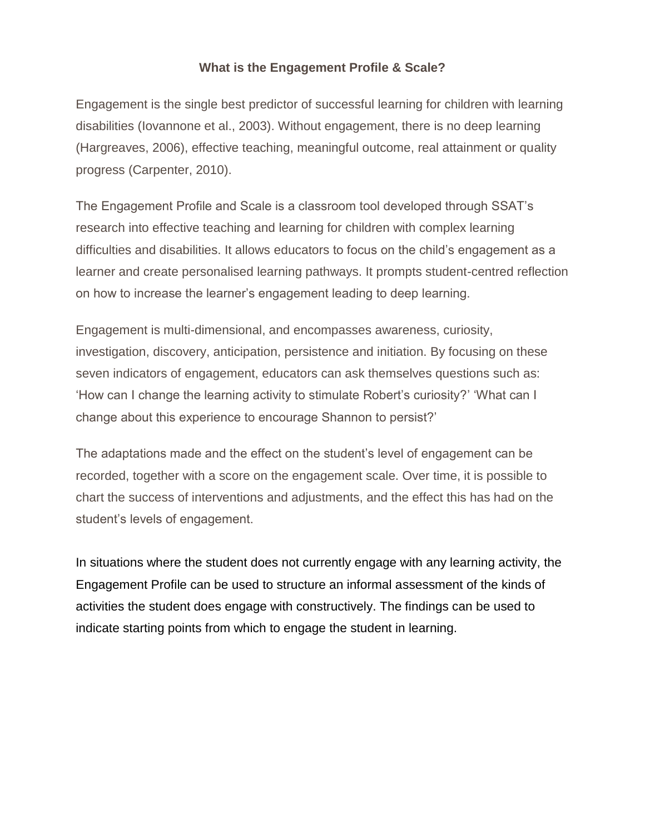#### **What is the Engagement Profile & Scale?**

Engagement is the single best predictor of successful learning for children with learning disabilities (Iovannone et al., 2003). Without engagement, there is no deep learning (Hargreaves, 2006), effective teaching, meaningful outcome, real attainment or quality progress (Carpenter, 2010).

The Engagement Profile and Scale is a classroom tool developed through SSAT"s research into effective teaching and learning for children with complex learning difficulties and disabilities. It allows educators to focus on the child"s engagement as a learner and create personalised learning pathways. It prompts student-centred reflection on how to increase the learner"s engagement leading to deep learning.

Engagement is multi-dimensional, and encompasses awareness, curiosity, investigation, discovery, anticipation, persistence and initiation. By focusing on these seven indicators of engagement, educators can ask themselves questions such as: "How can I change the learning activity to stimulate Robert"s curiosity?" "What can I change about this experience to encourage Shannon to persist?"

The adaptations made and the effect on the student"s level of engagement can be recorded, together with a score on the engagement scale. Over time, it is possible to chart the success of interventions and adjustments, and the effect this has had on the student's levels of engagement.

In situations where the student does not currently engage with any learning activity, the Engagement Profile can be used to structure an informal assessment of the kinds of activities the student does engage with constructively. The findings can be used to indicate starting points from which to engage the student in learning.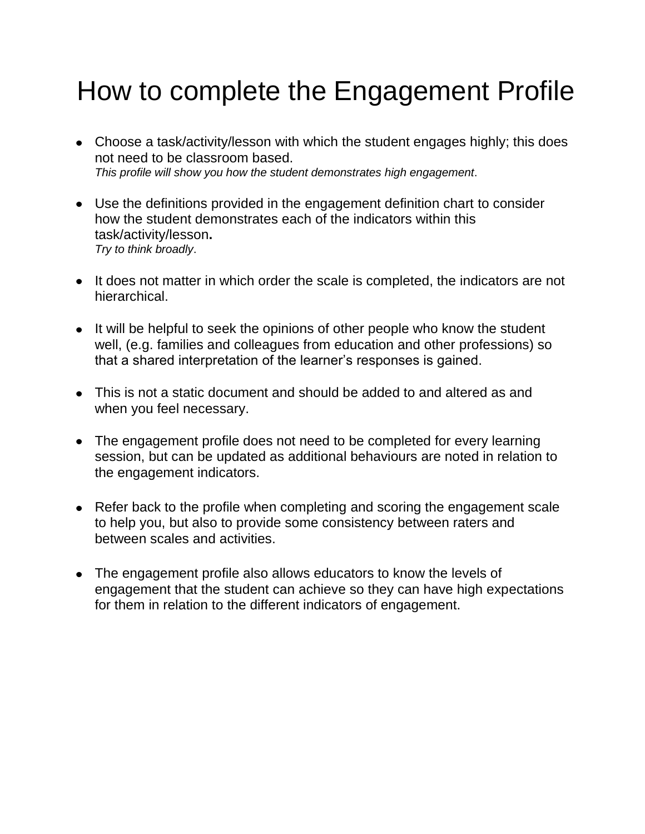# How to complete the Engagement Profile

- Choose a task/activity/lesson with which the student engages highly; this does not need to be classroom based. *This profile will show you how the student demonstrates high engagement*.
- Use the definitions provided in the engagement definition chart to consider how the student demonstrates each of the indicators within this task/activity/lesson**.** *Try to think broadly*.
- It does not matter in which order the scale is completed, the indicators are not hierarchical.
- It will be helpful to seek the opinions of other people who know the student well, (e.g. families and colleagues from education and other professions) so that a shared interpretation of the learner"s responses is gained.
- This is not a static document and should be added to and altered as and when you feel necessary.
- The engagement profile does not need to be completed for every learning session, but can be updated as additional behaviours are noted in relation to the engagement indicators.
- Refer back to the profile when completing and scoring the engagement scale to help you, but also to provide some consistency between raters and between scales and activities.
- The engagement profile also allows educators to know the levels of engagement that the student can achieve so they can have high expectations for them in relation to the different indicators of engagement.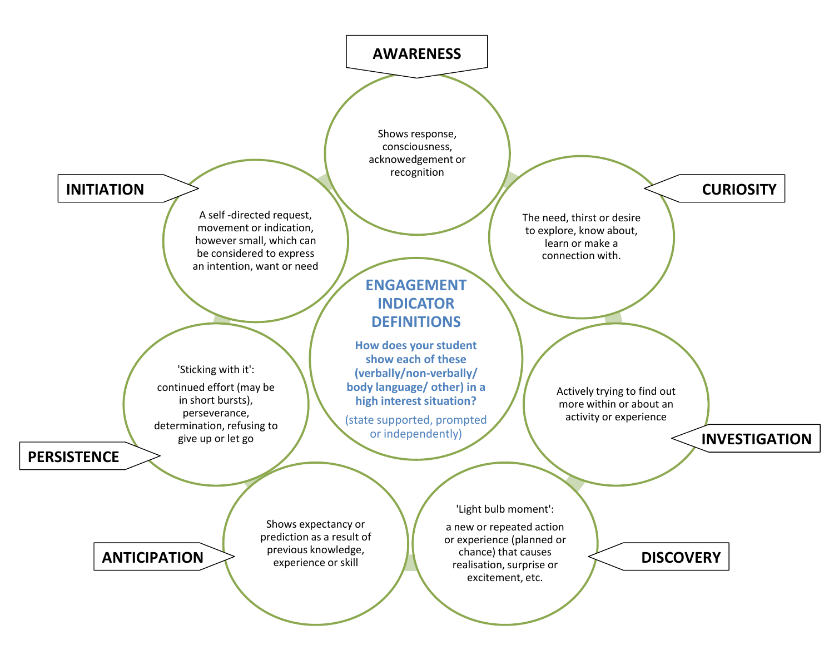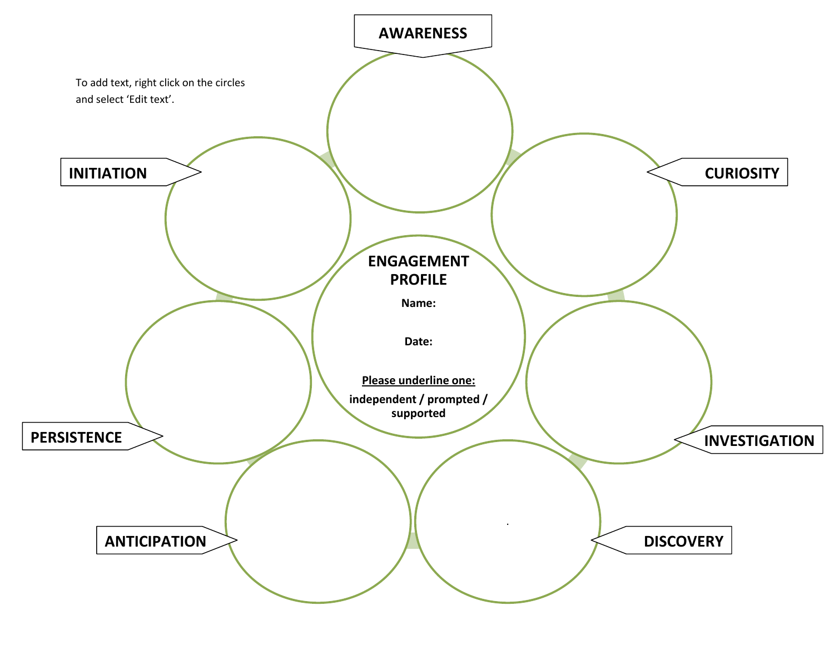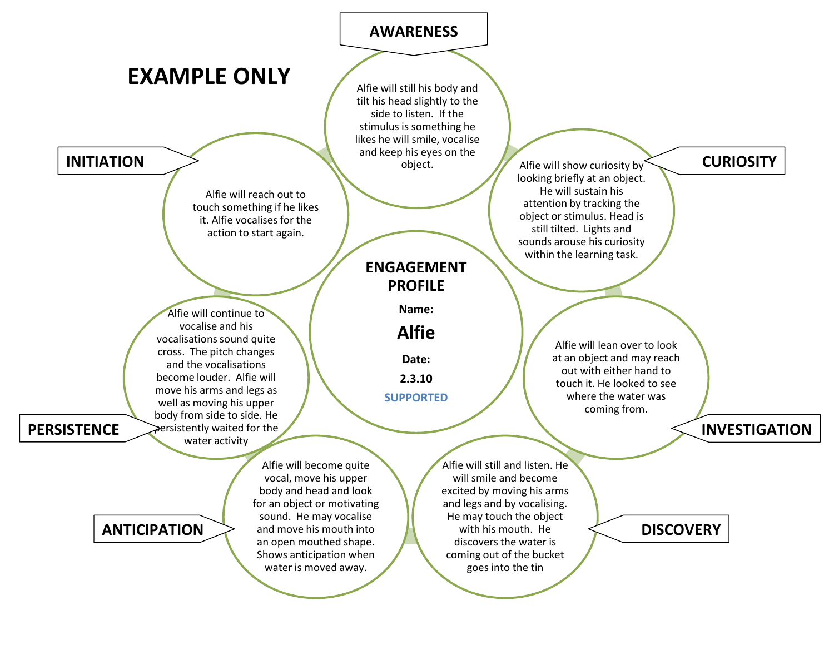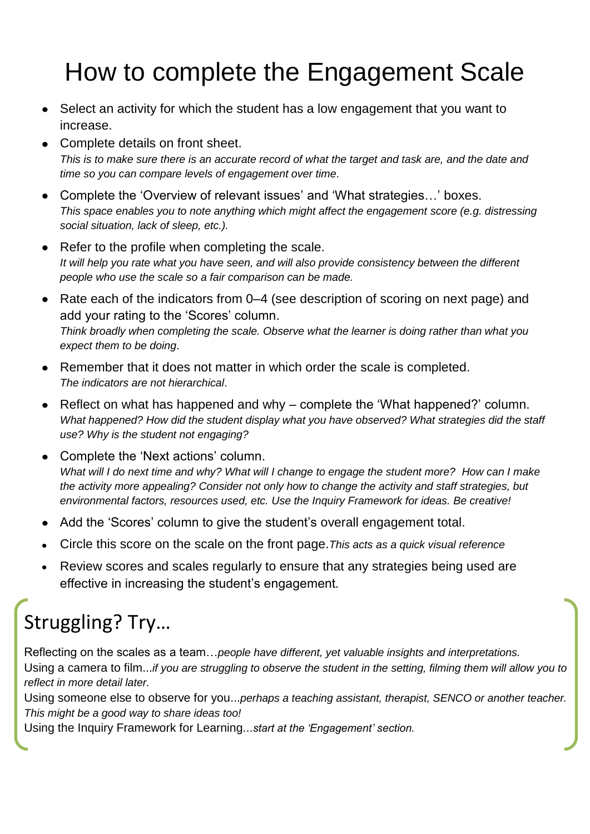# How to complete the Engagement Scale

- Select an activity for which the student has a low engagement that you want to  $\bullet$ increase.
- Complete details on front sheet. *This is to make sure there is an accurate record of what the target and task are, and the date and time so you can compare levels of engagement over time*.
- Complete the "Overview of relevant issues" and "What strategies…" boxes.  $\bullet$ *This space enables you to note anything which might affect the engagement score (e.g. distressing social situation, lack of sleep, etc.).*
- Refer to the profile when completing the scale. It will help you rate what you have seen, and will also provide consistency between the different *people who use the scale so a fair comparison can be made.*
- Rate each of the indicators from 0–4 (see description of scoring on next page) and  $\bullet$ add your rating to the 'Scores' column. *Think broadly when completing the scale. Observe what the learner is doing rather than what you expect them to be doing*.
- Remember that it does not matter in which order the scale is completed. *The indicators are not hierarchical*.
- Reflect on what has happened and why complete the "What happened?" column.  $\bullet$ *What happened? How did the student display what you have observed? What strategies did the staff use? Why is the student not engaging?*
- Complete the 'Next actions' column. *What will I do next time and why? What will I change to engage the student more? How can I make the activity more appealing? Consider not only how to change the activity and staff strategies, but environmental factors, resources used, etc. Use the Inquiry Framework for ideas. Be creative!*
- Add the 'Scores' column to give the student's overall engagement total.
- Circle this score on the scale on the front page.*This acts as a quick visual reference*
- Review scores and scales regularly to ensure that any strategies being used are effective in increasing the student"s engagement*.*

# Struggling? Try…

Reflecting on the scales as a team…*people have different, yet valuable insights and interpretations.*  Using a camera to film...*if you are struggling to observe the student in the setting, filming them will allow you to reflect in more detail later.*

Using someone else to observe for you...*perhaps a teaching assistant, therapist, SENCO or another teacher. This might be a good way to share ideas too!*

Using the Inquiry Framework for Learning...*start at the 'Engagement' section.*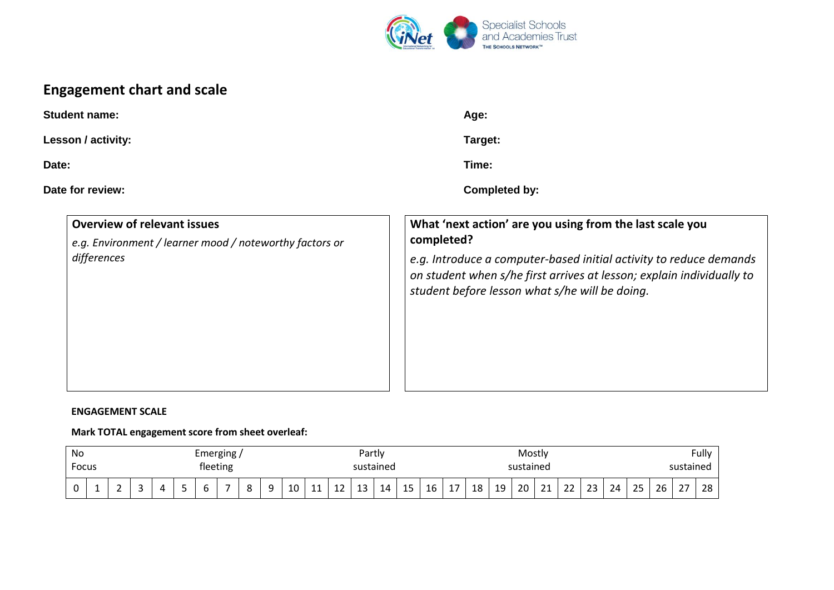

### **Engagement chart and scale**

| <b>Student name:</b>                                                                                         | Age:                                                                                                                                                                                                                                                                    |  |  |  |  |  |
|--------------------------------------------------------------------------------------------------------------|-------------------------------------------------------------------------------------------------------------------------------------------------------------------------------------------------------------------------------------------------------------------------|--|--|--|--|--|
| Lesson / activity:                                                                                           | Target:                                                                                                                                                                                                                                                                 |  |  |  |  |  |
| Date:                                                                                                        | Time:                                                                                                                                                                                                                                                                   |  |  |  |  |  |
| Date for review:                                                                                             | <b>Completed by:</b>                                                                                                                                                                                                                                                    |  |  |  |  |  |
| <b>Overview of relevant issues</b><br>e.g. Environment / learner mood / noteworthy factors or<br>differences | What 'next action' are you using from the last scale you<br>completed?<br>e.g. Introduce a computer-based initial activity to reduce demands<br>on student when s/he first arrives at lesson; explain individually to<br>student before lesson what s/he will be doing. |  |  |  |  |  |

#### **ENGAGEMENT SCALE**

#### **Mark TOTAL engagement score from sheet overleaf:**

| No<br>Emerging, |                                |  |  |  |  |  |   | Partly    |             |               |          |             |         |    | Mostly    |    |    |    |    |    | Fully                      |                                 |                       |    |    |    |               |    |
|-----------------|--------------------------------|--|--|--|--|--|---|-----------|-------------|---------------|----------|-------------|---------|----|-----------|----|----|----|----|----|----------------------------|---------------------------------|-----------------------|----|----|----|---------------|----|
|                 | fleeting<br>sustained<br>Focus |  |  |  |  |  |   | sustained |             |               |          |             |         |    | sustained |    |    |    |    |    |                            |                                 |                       |    |    |    |               |    |
|                 |                                |  |  |  |  |  | - | ີ         | $\sim$<br>ч | $\Delta$<br>ᅩ | 11<br>ᆠᆂ | $\sim$<br>ᆠ | 12<br>ᆦ | 14 | 1 E<br>ᅩᆚ | 16 | 17 | 18 | 19 | 20 | $\mathbf{A}$<br><u>_ _</u> | $\mathbf{\hat{z}}$<br><u>__</u> | $\mathbf{\sim}$<br>23 | 24 | 25 | 26 | $\sim$<br>، ے | 28 |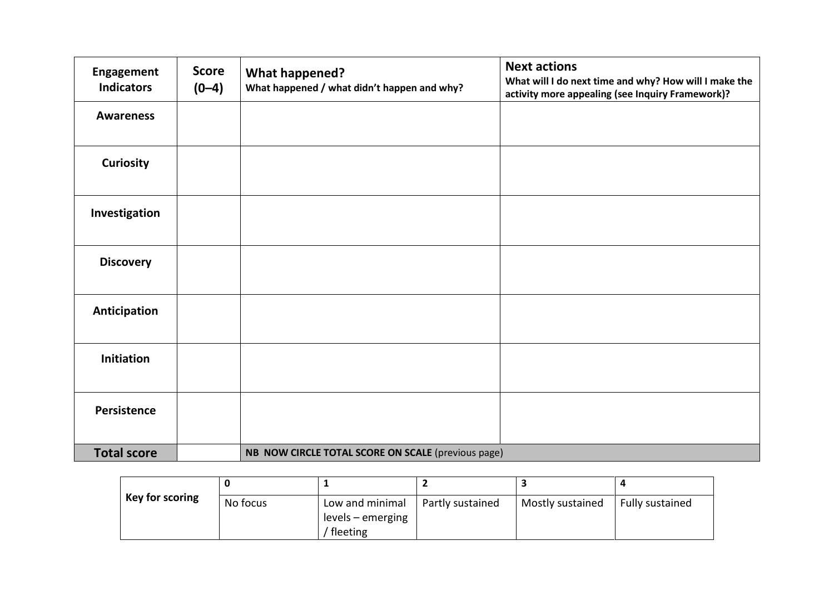| <b>Engagement</b><br><b>Indicators</b> | <b>Score</b><br>$(0 - 4)$ | <b>What happened?</b><br>What happened / what didn't happen and why? | <b>Next actions</b><br>What will I do next time and why? How will I make the<br>activity more appealing (see Inquiry Framework)? |
|----------------------------------------|---------------------------|----------------------------------------------------------------------|----------------------------------------------------------------------------------------------------------------------------------|
| <b>Awareness</b>                       |                           |                                                                      |                                                                                                                                  |
| <b>Curiosity</b>                       |                           |                                                                      |                                                                                                                                  |
| Investigation                          |                           |                                                                      |                                                                                                                                  |
| <b>Discovery</b>                       |                           |                                                                      |                                                                                                                                  |
| Anticipation                           |                           |                                                                      |                                                                                                                                  |
| Initiation                             |                           |                                                                      |                                                                                                                                  |
| Persistence                            |                           |                                                                      |                                                                                                                                  |
| <b>Total score</b>                     |                           | NB NOW CIRCLE TOTAL SCORE ON SCALE (previous page)                   |                                                                                                                                  |

| Key for scoring | No focus | Low and minimal<br>levels – emerging<br>fleeting | Partly sustained | Mostly sustained | Fully sustained |
|-----------------|----------|--------------------------------------------------|------------------|------------------|-----------------|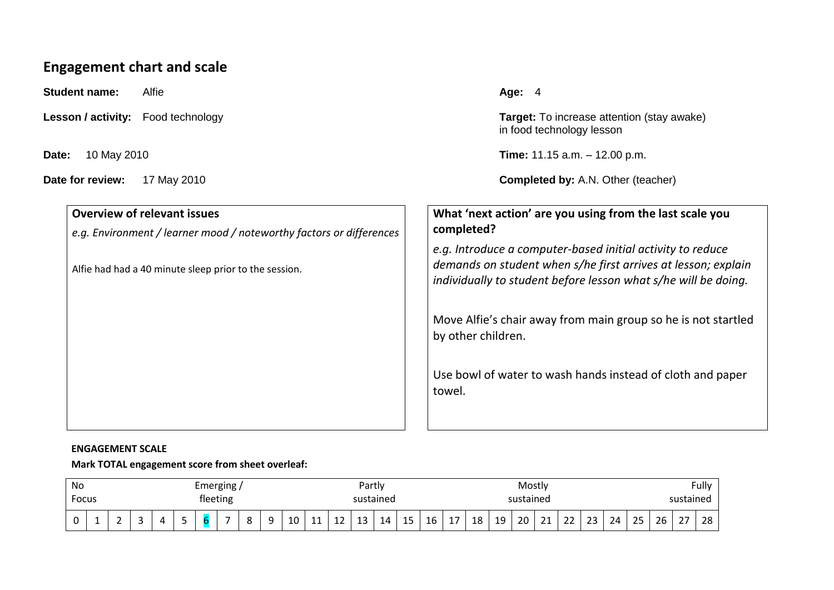### **Engagement chart and scale**

**Student name:** Alfie **Alfie Alfie Age:** 4

**Lesson / activity:** Food technology **Target:** To increase attention (stay awake) in food technology lesson

**Date:** 10 May 2010 **Time:** 11.15 a.m. – 12.00 p.m.

**Date for review:** 17 May 2010 **Completed by:** A.N. Other (teacher)

| <b>Overview of relevant issues</b><br>e.g. Environment / learner mood / noteworthy factors or differences | What 'next action' are you using from the last scale you<br>completed?                                                                                                                        |  |  |  |  |  |
|-----------------------------------------------------------------------------------------------------------|-----------------------------------------------------------------------------------------------------------------------------------------------------------------------------------------------|--|--|--|--|--|
| Alfie had had a 40 minute sleep prior to the session.                                                     | e.g. Introduce a computer-based initial activity to reduce<br>demands on student when s/he first arrives at lesson; explain<br>individually to student before lesson what s/he will be doing. |  |  |  |  |  |
|                                                                                                           | Move Alfie's chair away from main group so he is not startled<br>by other children.                                                                                                           |  |  |  |  |  |
|                                                                                                           | Use bowl of water to wash hands instead of cloth and paper<br>towel.                                                                                                                          |  |  |  |  |  |

#### **ENGAGEMENT SCALE**

#### **Mark TOTAL engagement score from sheet overleaf:**

| No | Emerging,                      |                               |  |   |  |  |  |              |           | Partly |             |                    |          |    |           |    | Mostly |    |                  |    |                            |                 |            | Fully |    |    |               |    |
|----|--------------------------------|-------------------------------|--|---|--|--|--|--------------|-----------|--------|-------------|--------------------|----------|----|-----------|----|--------|----|------------------|----|----------------------------|-----------------|------------|-------|----|----|---------------|----|
|    | fleeting<br>Focus<br>sustained |                               |  |   |  |  |  |              | sustained |        |             |                    |          |    | sustained |    |        |    |                  |    |                            |                 |            |       |    |    |               |    |
|    | <b>.</b>                       | $\overline{\phantom{0}}$<br>- |  | 4 |  |  |  | റ<br>$\circ$ |           | 10     | $\sim$<br>. | $\sim$<br><b>.</b> | 12<br>ᅩᆚ | 14 | 15        | 16 | 17     | 18 | 19<br><b>. .</b> | 20 | $\mathbf{A}$<br><u>_ _</u> | ົາ<br><u>__</u> | ົາາ<br>ر ے | 24    | 25 | 26 | $\sim$<br>، ے | 28 |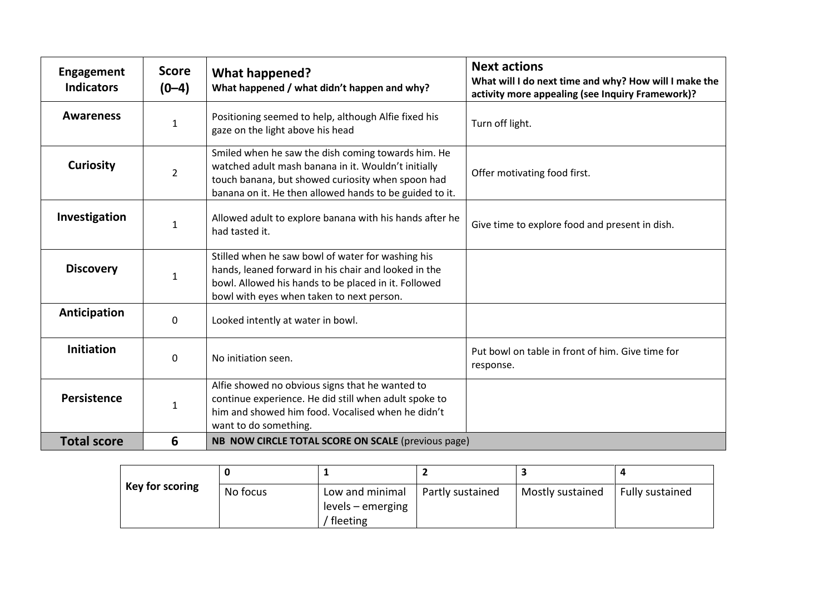| <b>Engagement</b><br><b>Indicators</b> | <b>Score</b><br>$(0-4)$ | <b>What happened?</b><br>What happened / what didn't happen and why?                                                                                                                                                      | <b>Next actions</b><br>What will I do next time and why? How will I make the<br>activity more appealing (see Inquiry Framework)? |  |  |  |  |  |
|----------------------------------------|-------------------------|---------------------------------------------------------------------------------------------------------------------------------------------------------------------------------------------------------------------------|----------------------------------------------------------------------------------------------------------------------------------|--|--|--|--|--|
| <b>Awareness</b>                       | $\mathbf{1}$            | Positioning seemed to help, although Alfie fixed his<br>gaze on the light above his head                                                                                                                                  | Turn off light.                                                                                                                  |  |  |  |  |  |
| <b>Curiosity</b>                       | $\overline{2}$          | Smiled when he saw the dish coming towards him. He<br>watched adult mash banana in it. Wouldn't initially<br>touch banana, but showed curiosity when spoon had<br>banana on it. He then allowed hands to be guided to it. | Offer motivating food first.                                                                                                     |  |  |  |  |  |
| Investigation                          | $\mathbf{1}$            | Allowed adult to explore banana with his hands after he<br>had tasted it.                                                                                                                                                 | Give time to explore food and present in dish.                                                                                   |  |  |  |  |  |
| <b>Discovery</b>                       | $\mathbf{1}$            | Stilled when he saw bowl of water for washing his<br>hands, leaned forward in his chair and looked in the<br>bowl. Allowed his hands to be placed in it. Followed<br>bowl with eyes when taken to next person.            |                                                                                                                                  |  |  |  |  |  |
| Anticipation                           | $\Omega$                | Looked intently at water in bowl.                                                                                                                                                                                         |                                                                                                                                  |  |  |  |  |  |
| <b>Initiation</b>                      | $\Omega$                | No initiation seen.                                                                                                                                                                                                       | Put bowl on table in front of him. Give time for<br>response.                                                                    |  |  |  |  |  |
| Persistence                            | 1                       | Alfie showed no obvious signs that he wanted to<br>continue experience. He did still when adult spoke to<br>him and showed him food. Vocalised when he didn't<br>want to do something.                                    |                                                                                                                                  |  |  |  |  |  |
| <b>Total score</b>                     | 6                       | NB NOW CIRCLE TOTAL SCORE ON SCALE (previous page)                                                                                                                                                                        |                                                                                                                                  |  |  |  |  |  |

| Key for scoring | No focus | Low and minimal   | Partly sustained | Mostly sustained | Fully sustained |
|-----------------|----------|-------------------|------------------|------------------|-----------------|
|                 |          | levels – emerging |                  |                  |                 |
|                 |          | fleeting          |                  |                  |                 |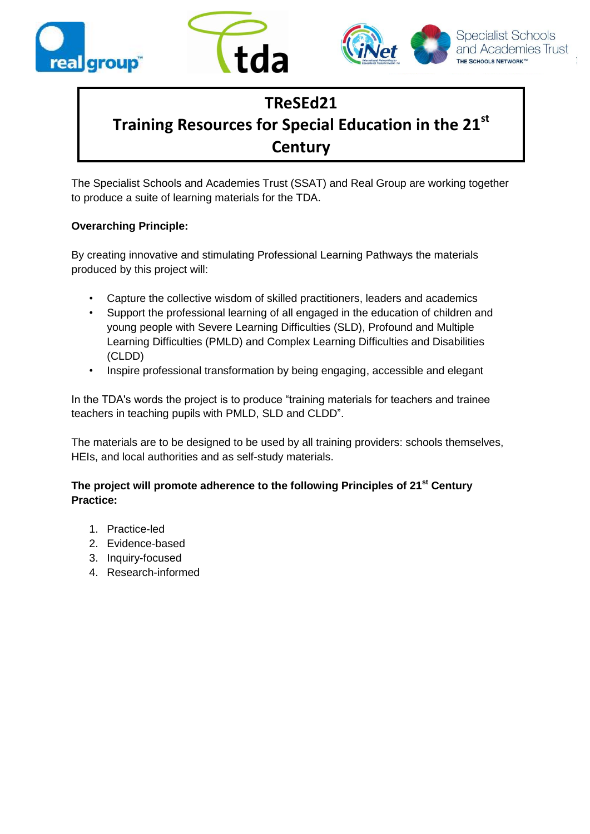





# **TReSEd21 Training Resources for Special Education in the 21st Century**

The Specialist Schools and Academies Trust (SSAT) and Real Group are working together to produce a suite of learning materials for the TDA.

#### **Overarching Principle:**

By creating innovative and stimulating Professional Learning Pathways the materials produced by this project will:

- Capture the collective wisdom of skilled practitioners, leaders and academics
- Support the professional learning of all engaged in the education of children and young people with Severe Learning Difficulties (SLD), Profound and Multiple Learning Difficulties (PMLD) and Complex Learning Difficulties and Disabilities (CLDD)
- Inspire professional transformation by being engaging, accessible and elegant

In the TDA's words the project is to produce "training materials for teachers and trainee teachers in teaching pupils with PMLD, SLD and CLDD".

The materials are to be designed to be used by all training providers: schools themselves, HEIs, and local authorities and as self-study materials.

#### **The project will promote adherence to the following Principles of 21st Century Practice:**

- 1. Practice-led
- 2. Evidence-based
- 3. Inquiry-focused
- 4. Research-informed